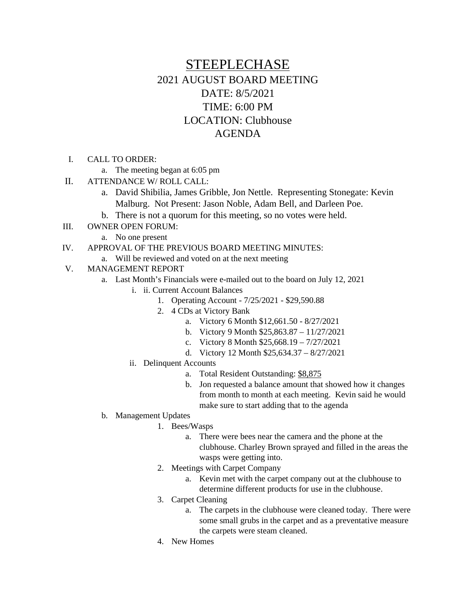# STEEPLECHASE 2021 AUGUST BOARD MEETING DATE: 8/5/2021 TIME: 6:00 PM LOCATION: Clubhouse AGENDA

- I. CALL TO ORDER:
	- a. The meeting began at 6:05 pm
- II. ATTENDANCE W/ ROLL CALL:
	- a. David Shibilia, James Gribble, Jon Nettle. Representing Stonegate: Kevin Malburg. Not Present: Jason Noble, Adam Bell, and Darleen Poe.
	- b. There is not a quorum for this meeting, so no votes were held.
- III. OWNER OPEN FORUM:
	- a. No one present
- IV. APPROVAL OF THE PREVIOUS BOARD MEETING MINUTES:
	- a. Will be reviewed and voted on at the next meeting
- V. MANAGEMENT REPORT
	- a. Last Month's Financials were e-mailed out to the board on July 12, 2021
		- i. ii. Current Account Balances
			- 1. Operating Account 7/25/2021 \$29,590.88
			- 2. 4 CDs at Victory Bank
				- a. Victory 6 Month \$12,661.50 8/27/2021
				- b. Victory 9 Month \$25,863.87 11/27/2021
				- c. Victory 8 Month \$25,668.19 7/27/2021
				- d. Victory 12 Month \$25,634.37 8/27/2021
		- ii. Delinquent Accounts
			- a. Total Resident Outstanding: \$8,875
			- b. Jon requested a balance amount that showed how it changes from month to month at each meeting. Kevin said he would make sure to start adding that to the agenda
	- b. Management Updates
		- 1. Bees/Wasps
			- a. There were bees near the camera and the phone at the clubhouse. Charley Brown sprayed and filled in the areas the wasps were getting into.
		- 2. Meetings with Carpet Company
			- a. Kevin met with the carpet company out at the clubhouse to determine different products for use in the clubhouse.
		- 3. Carpet Cleaning
			- a. The carpets in the clubhouse were cleaned today. There were some small grubs in the carpet and as a preventative measure the carpets were steam cleaned.
		- 4. New Homes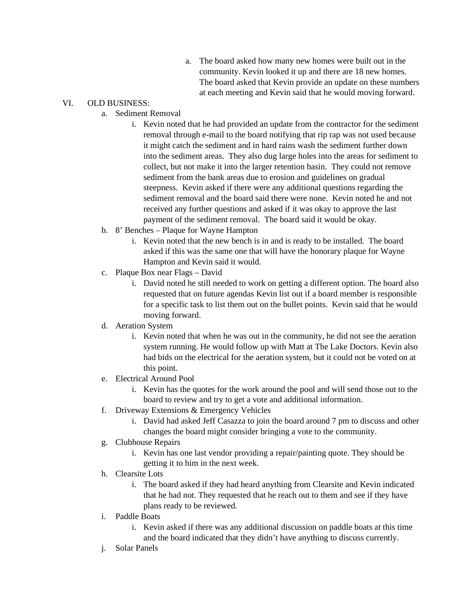a. The board asked how many new homes were built out in the community. Kevin looked it up and there are 18 new homes. The board asked that Kevin provide an update on these numbers at each meeting and Kevin said that he would moving forward.

# VI. OLD BUSINESS:

- a. Sediment Removal
	- i. Kevin noted that he had provided an update from the contractor for the sediment removal through e-mail to the board notifying that rip rap was not used because it might catch the sediment and in hard rains wash the sediment further down into the sediment areas. They also dug large holes into the areas for sediment to collect, but not make it into the larger retention basin. They could not remove sediment from the bank areas due to erosion and guidelines on gradual steepness. Kevin asked if there were any additional questions regarding the sediment removal and the board said there were none. Kevin noted he and not received any further questions and asked if it was okay to approve the last payment of the sediment removal. The board said it would be okay.
- b. 8' Benches Plaque for Wayne Hampton
	- i. Kevin noted that the new bench is in and is ready to be installed. The board asked if this was the same one that will have the honorary plaque for Wayne Hampton and Kevin said it would.
- c. Plaque Box near Flags David
	- i. David noted he still needed to work on getting a different option. The board also requested that on future agendas Kevin list out if a board member is responsible for a specific task to list them out on the bullet points. Kevin said that he would moving forward.

## d. Aeration System

- i. Kevin noted that when he was out in the community, he did not see the aeration system running. He would follow up with Matt at The Lake Doctors. Kevin also had bids on the electrical for the aeration system, but it could not be voted on at this point.
- e. Electrical Around Pool
	- i. Kevin has the quotes for the work around the pool and will send those out to the board to review and try to get a vote and additional information.
- f. Driveway Extensions & Emergency Vehicles
	- i. David had asked Jeff Casazza to join the board around 7 pm to discuss and other changes the board might consider bringing a vote to the community.
- g. Clubhouse Repairs
	- i. Kevin has one last vendor providing a repair/painting quote. They should be getting it to him in the next week.
- h. Clearsite Lots
	- i. The board asked if they had heard anything from Clearsite and Kevin indicated that he had not. They requested that he reach out to them and see if they have plans ready to be reviewed.
- i. Paddle Boats
	- i. Kevin asked if there was any additional discussion on paddle boats at this time and the board indicated that they didn't have anything to discuss currently.
- j. Solar Panels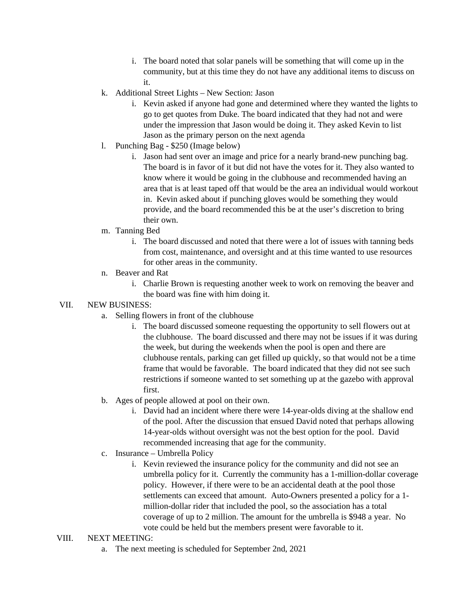- i. The board noted that solar panels will be something that will come up in the community, but at this time they do not have any additional items to discuss on it.
- k. Additional Street Lights New Section: Jason
	- i. Kevin asked if anyone had gone and determined where they wanted the lights to go to get quotes from Duke. The board indicated that they had not and were under the impression that Jason would be doing it. They asked Kevin to list Jason as the primary person on the next agenda
- l. Punching Bag \$250 (Image below)
	- i. Jason had sent over an image and price for a nearly brand-new punching bag. The board is in favor of it but did not have the votes for it. They also wanted to know where it would be going in the clubhouse and recommended having an area that is at least taped off that would be the area an individual would workout in. Kevin asked about if punching gloves would be something they would provide, and the board recommended this be at the user's discretion to bring their own.
- m. Tanning Bed
	- i. The board discussed and noted that there were a lot of issues with tanning beds from cost, maintenance, and oversight and at this time wanted to use resources for other areas in the community.
- n. Beaver and Rat
	- i. Charlie Brown is requesting another week to work on removing the beaver and the board was fine with him doing it.

#### VII. NEW BUSINESS:

- a. Selling flowers in front of the clubhouse
	- i. The board discussed someone requesting the opportunity to sell flowers out at the clubhouse. The board discussed and there may not be issues if it was during the week, but during the weekends when the pool is open and there are clubhouse rentals, parking can get filled up quickly, so that would not be a time frame that would be favorable. The board indicated that they did not see such restrictions if someone wanted to set something up at the gazebo with approval first.
- b. Ages of people allowed at pool on their own.
	- i. David had an incident where there were 14-year-olds diving at the shallow end of the pool. After the discussion that ensued David noted that perhaps allowing 14-year-olds without oversight was not the best option for the pool. David recommended increasing that age for the community.
- c. Insurance Umbrella Policy
	- i. Kevin reviewed the insurance policy for the community and did not see an umbrella policy for it. Currently the community has a 1-million-dollar coverage policy. However, if there were to be an accidental death at the pool those settlements can exceed that amount. Auto-Owners presented a policy for a 1 million-dollar rider that included the pool, so the association has a total coverage of up to 2 million. The amount for the umbrella is \$948 a year. No vote could be held but the members present were favorable to it.

#### VIII. NEXT MEETING:

a. The next meeting is scheduled for September 2nd, 2021